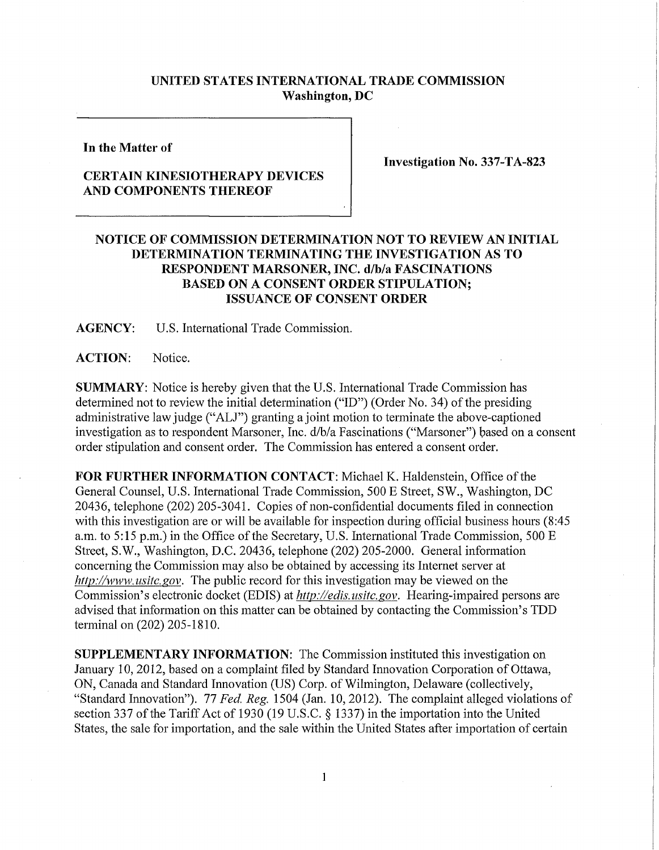## **UNITED STATES INTERNATIONAL TRADE COMMISSION Washington, DC**

**In the Matter of** 

## **CERTAIN KINESIOTHERAPY DEVICES AND COMPONENTS THEREOF**

**Investigation No. 337-TA-823** 

## **NOTICE OF COMMISSION DETERMINATION NOT TO REVIEW AN INITIAL DETERMINATION TERMINATING THE INVESTIGATION AS TO RESPONDENT MARSONER, INC. d/b/a FASCINATIONS BASED ON A CONSENT ORDER STIPULATION; ISSUANCE OF CONSENT ORDER**

**AGENCY:** U.S. International Trade Commission.

**ACTION:** Notice.

**SUMMARY:** Notice is hereby given that the U.S. International Trade Commission has determined not to review the initial determination ("ID") (Order No. 34) of the presiding administrative law judge ("ALJ") granting a joint motion to terminate the above-captioned investigation as to respondent Marsoner, Inc. d/b/a Fascinations ("Marsoner") based on a consent order stipulation and consent order. The Commission has entered a consent order.

FOR FURTHER INFORMATION CONTACT: Michael K. Haldenstein, Office of the General Counsel, U.S. International Trade Commission, 500 E Street, SW., Washington, DC 20436, telephone (202) 205-3041. Copies of non-confidential documents filed in connection with this investigation are or will be available for inspection during official business hours (8:45 a.m. to 5:15 p.m.) in the Office of the Secretary, U.S. International Trade Commission, 500 E Street, S.W., Washington, D.C. 20436, telephone (202) 205-2000. General information concerning the Commission may also be obtained by accessing its Internet server at *http://www, usitc. gov.* The public record for this investigation may be viewed on the Commission's electronic docket (EDIS) at *http://edis. usitc.gov.* Hearing-impaired persons are advised that information on this matter can be obtained by contacting the Commission's TDD terminal on (202) 205-1810.

**SUPPLEMENTARY INFORMATION:** The Commission instituted this investigation on January 10, 2012, based on a complaint filed by Standard Innovation Corporation of Ottawa, ON, Canada and Standard Innovation (US) Corp. of Wilmington, Delaware (collectively, "Standard Innovation"). 77 *Fed, Reg.* 1504 (Jan. 10, 2012). The complaint alleged violations of section 337 of the Tariff Act of 1930 (19 U.S.C. § 1337) in the importation into the United States, the sale for importation, and the sale within the United States after importation of certain